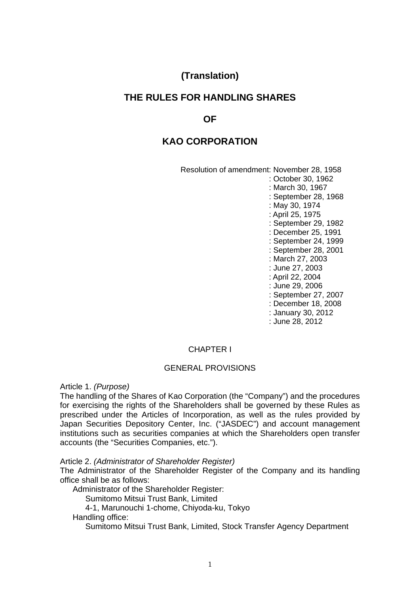# **(Translation)**

# **THE RULES FOR HANDLING SHARES**

# **OF**

# **KAO CORPORATION**

 Resolution of amendment: November 28, 1958 : October 30, 1962 : March 30, 1967 : September 28, 1968 : May 30, 1974 : April 25, 1975 : September 29, 1982 : December 25, 1991 : September 24, 1999 : September 28, 2001 : March 27, 2003 : June 27, 2003 : April 22, 2004 : June 29, 2006 : September 27, 2007 : December 18, 2008 : January 30, 2012 : June 28, 2012

# CHAPTER I

#### GENERAL PROVISIONS

Article 1. *(Purpose)* 

The handling of the Shares of Kao Corporation (the "Company") and the procedures for exercising the rights of the Shareholders shall be governed by these Rules as prescribed under the Articles of Incorporation, as well as the rules provided by Japan Securities Depository Center, Inc. ("JASDEC") and account management institutions such as securities companies at which the Shareholders open transfer accounts (the "Securities Companies, etc.").

Article 2. *(Administrator of Shareholder Register)* 

The Administrator of the Shareholder Register of the Company and its handling office shall be as follows:

Administrator of the Shareholder Register:

Sumitomo Mitsui Trust Bank, Limited

4-1, Marunouchi 1-chome, Chiyoda-ku, Tokyo

Handling office:

Sumitomo Mitsui Trust Bank, Limited, Stock Transfer Agency Department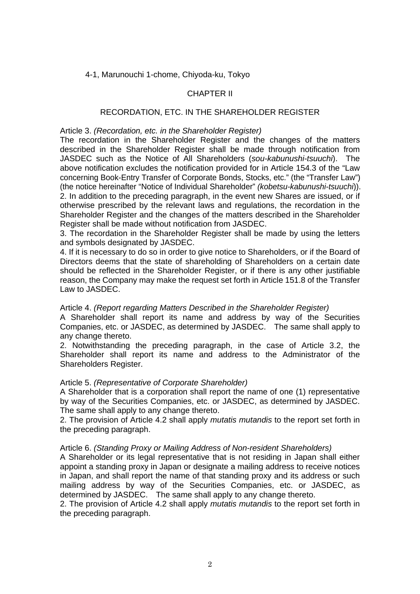## 4-1, Marunouchi 1-chome, Chiyoda-ku, Tokyo

## CHAPTER II

## RECORDATION, ETC. IN THE SHAREHOLDER REGISTER

## Article 3. *(Recordation, etc. in the Shareholder Register)*

The recordation in the Shareholder Register and the changes of the matters described in the Shareholder Register shall be made through notification from JASDEC such as the Notice of All Shareholders (*sou-kabunushi-tsuuchi*). The above notification excludes the notification provided for in Article 154.3 of the "Law concerning Book-Entry Transfer of Corporate Bonds, Stocks, etc." (the "Transfer Law") (the notice hereinafter "Notice of Individual Shareholder" *(kobetsu-kabunushi-tsuuchi*)). 2. In addition to the preceding paragraph, in the event new Shares are issued, or if otherwise prescribed by the relevant laws and regulations, the recordation in the Shareholder Register and the changes of the matters described in the Shareholder Register shall be made without notification from JASDEC.

3. The recordation in the Shareholder Register shall be made by using the letters and symbols designated by JASDEC.

4. If it is necessary to do so in order to give notice to Shareholders, or if the Board of Directors deems that the state of shareholding of Shareholders on a certain date should be reflected in the Shareholder Register, or if there is any other justifiable reason, the Company may make the request set forth in Article 151.8 of the Transfer Law to JASDEC.

## Article 4. *(Report regarding Matters Described in the Shareholder Register)*

A Shareholder shall report its name and address by way of the Securities Companies, etc. or JASDEC, as determined by JASDEC. The same shall apply to any change thereto.

2. Notwithstanding the preceding paragraph, in the case of Article 3.2, the Shareholder shall report its name and address to the Administrator of the Shareholders Register.

## Article 5. *(Representative of Corporate Shareholder)*

A Shareholder that is a corporation shall report the name of one (1) representative by way of the Securities Companies, etc. or JASDEC, as determined by JASDEC. The same shall apply to any change thereto.

2. The provision of Article 4.2 shall apply *mutatis mutandis* to the report set forth in the preceding paragraph.

## Article 6. *(Standing Proxy or Mailing Address of Non-resident Shareholders)*

A Shareholder or its legal representative that is not residing in Japan shall either appoint a standing proxy in Japan or designate a mailing address to receive notices in Japan, and shall report the name of that standing proxy and its address or such mailing address by way of the Securities Companies, etc. or JASDEC, as determined by JASDEC. The same shall apply to any change thereto.

2. The provision of Article 4.2 shall apply *mutatis mutandis* to the report set forth in the preceding paragraph.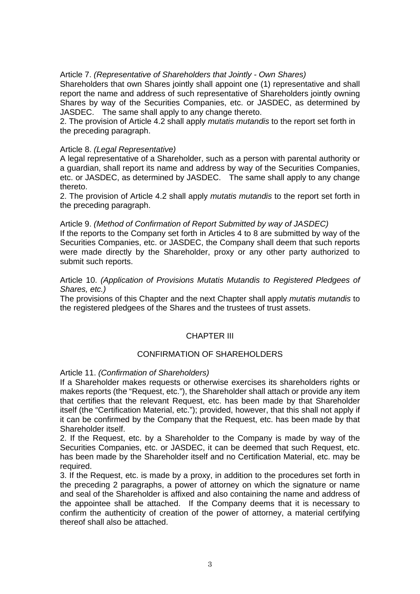# Article 7. *(Representative of Shareholders that Jointly - Own Shares)*

Shareholders that own Shares jointly shall appoint one (1) representative and shall report the name and address of such representative of Shareholders jointly owning Shares by way of the Securities Companies, etc. or JASDEC, as determined by JASDEC. The same shall apply to any change thereto.

2. The provision of Article 4.2 shall apply *mutatis mutandis* to the report set forth in the preceding paragraph.

## Article 8. *(Legal Representative)*

A legal representative of a Shareholder, such as a person with parental authority or a guardian, shall report its name and address by way of the Securities Companies, etc. or JASDEC, as determined by JASDEC. The same shall apply to any change thereto.

2. The provision of Article 4.2 shall apply *mutatis mutandis* to the report set forth in the preceding paragraph.

### Article 9. *(Method of Confirmation of Report Submitted by way of JASDEC)*

If the reports to the Company set forth in Articles 4 to 8 are submitted by way of the Securities Companies, etc. or JASDEC, the Company shall deem that such reports were made directly by the Shareholder, proxy or any other party authorized to submit such reports.

Article 10. *(Application of Provisions Mutatis Mutandis to Registered Pledgees of Shares, etc.)* 

The provisions of this Chapter and the next Chapter shall apply *mutatis mutandis* to the registered pledgees of the Shares and the trustees of trust assets.

# CHAPTER III

## CONFIRMATION OF SHAREHOLDERS

## Article 11. *(Confirmation of Shareholders)*

If a Shareholder makes requests or otherwise exercises its shareholders rights or makes reports (the "Request, etc."), the Shareholder shall attach or provide any item that certifies that the relevant Request, etc. has been made by that Shareholder itself (the "Certification Material, etc."); provided, however, that this shall not apply if it can be confirmed by the Company that the Request, etc. has been made by that Shareholder itself.

2. If the Request, etc. by a Shareholder to the Company is made by way of the Securities Companies, etc. or JASDEC, it can be deemed that such Request, etc. has been made by the Shareholder itself and no Certification Material, etc. may be required.

3. If the Request, etc. is made by a proxy, in addition to the procedures set forth in the preceding 2 paragraphs, a power of attorney on which the signature or name and seal of the Shareholder is affixed and also containing the name and address of the appointee shall be attached. If the Company deems that it is necessary to confirm the authenticity of creation of the power of attorney, a material certifying thereof shall also be attached.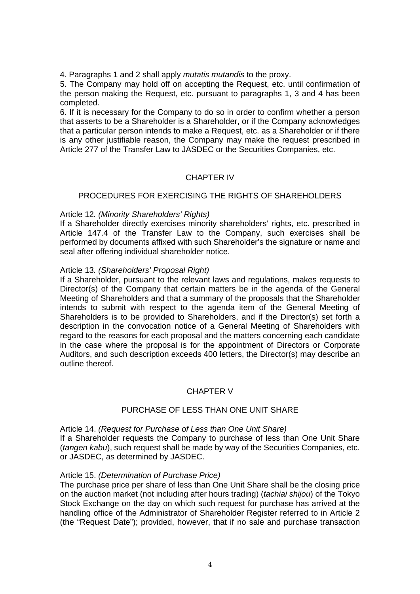4. Paragraphs 1 and 2 shall apply *mutatis mutandis* to the proxy.

5. The Company may hold off on accepting the Request, etc. until confirmation of the person making the Request, etc. pursuant to paragraphs 1, 3 and 4 has been completed.

6. If it is necessary for the Company to do so in order to confirm whether a person that asserts to be a Shareholder is a Shareholder, or if the Company acknowledges that a particular person intends to make a Request, etc. as a Shareholder or if there is any other justifiable reason, the Company may make the request prescribed in Article 277 of the Transfer Law to JASDEC or the Securities Companies, etc.

## CHAPTER IV

### PROCEDURES FOR EXERCISING THE RIGHTS OF SHAREHOLDERS

### Article 12*. (Minority Shareholders' Rights)*

If a Shareholder directly exercises minority shareholders' rights, etc. prescribed in Article 147.4 of the Transfer Law to the Company, such exercises shall be performed by documents affixed with such Shareholder's the signature or name and seal after offering individual shareholder notice.

### Article 13*. (Shareholders' Proposal Right)*

If a Shareholder, pursuant to the relevant laws and regulations, makes requests to Director(s) of the Company that certain matters be in the agenda of the General Meeting of Shareholders and that a summary of the proposals that the Shareholder intends to submit with respect to the agenda item of the General Meeting of Shareholders is to be provided to Shareholders, and if the Director(s) set forth a description in the convocation notice of a General Meeting of Shareholders with regard to the reasons for each proposal and the matters concerning each candidate in the case where the proposal is for the appointment of Directors or Corporate Auditors, and such description exceeds 400 letters, the Director(s) may describe an outline thereof.

## CHAPTER V

## PURCHASE OF LESS THAN ONE UNIT SHARE

Article 14. *(Request for Purchase of Less than One Unit Share)*  If a Shareholder requests the Company to purchase of less than One Unit Share (*tangen kabu*), such request shall be made by way of the Securities Companies, etc. or JASDEC, as determined by JASDEC.

#### Article 15. *(Determination of Purchase Price)*

The purchase price per share of less than One Unit Share shall be the closing price on the auction market (not including after hours trading) (*tachiai shijou*) of the Tokyo Stock Exchange on the day on which such request for purchase has arrived at the handling office of the Administrator of Shareholder Register referred to in Article 2 (the "Request Date"); provided, however, that if no sale and purchase transaction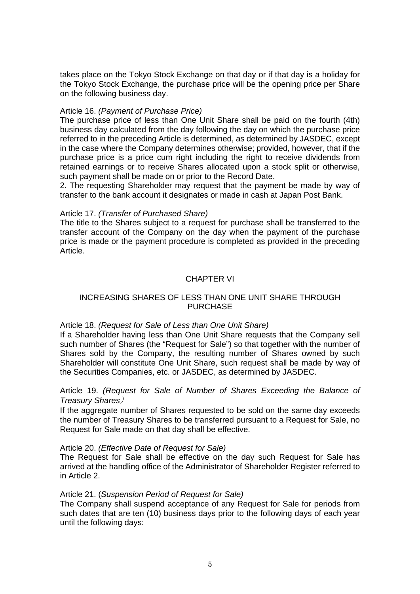takes place on the Tokyo Stock Exchange on that day or if that day is a holiday for the Tokyo Stock Exchange, the purchase price will be the opening price per Share on the following business day.

## Article 16. *(Payment of Purchase Price)*

The purchase price of less than One Unit Share shall be paid on the fourth (4th) business day calculated from the day following the day on which the purchase price referred to in the preceding Article is determined, as determined by JASDEC, except in the case where the Company determines otherwise; provided, however, that if the purchase price is a price cum right including the right to receive dividends from retained earnings or to receive Shares allocated upon a stock split or otherwise, such payment shall be made on or prior to the Record Date.

2. The requesting Shareholder may request that the payment be made by way of transfer to the bank account it designates or made in cash at Japan Post Bank.

### Article 17. *(Transfer of Purchased Share)*

The title to the Shares subject to a request for purchase shall be transferred to the transfer account of the Company on the day when the payment of the purchase price is made or the payment procedure is completed as provided in the preceding Article.

## CHAPTER VI

## INCREASING SHARES OF LESS THAN ONE UNIT SHARE THROUGH PURCHASE

#### Article 18. *(Request for Sale of Less than One Unit Share)*

If a Shareholder having less than One Unit Share requests that the Company sell such number of Shares (the "Request for Sale") so that together with the number of Shares sold by the Company, the resulting number of Shares owned by such Shareholder will constitute One Unit Share, such request shall be made by way of the Securities Companies, etc. or JASDEC, as determined by JASDEC.

# Article 19. *(Request for Sale of Number of Shares Exceeding the Balance of Treasury Shares*)

If the aggregate number of Shares requested to be sold on the same day exceeds the number of Treasury Shares to be transferred pursuant to a Request for Sale, no Request for Sale made on that day shall be effective.

#### Article 20. *(Effective Date of Request for Sale)*

The Request for Sale shall be effective on the day such Request for Sale has arrived at the handling office of the Administrator of Shareholder Register referred to in Article 2.

#### Article 21. (*Suspension Period of Request for Sale)*

The Company shall suspend acceptance of any Request for Sale for periods from such dates that are ten (10) business days prior to the following days of each year until the following days: